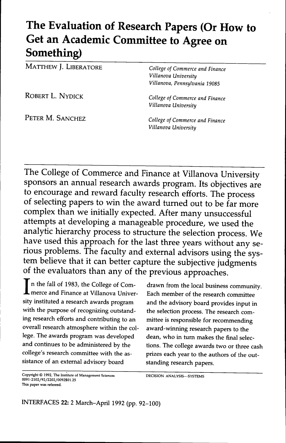# **The Evaluation of Research Papers (Or How to Get an Academic Committee to Agree on Something)**

MATTHEW J. LIBERATORE *college of commerce and Finance*

*Villanova University Villanova, Pennsylvania 19085*

ROBERT L. NYDICK *college of Commerce and Finance Villanova University*

PETER M. SANCHEZ *college of commerce and Finance Villanova University*

The College of Commerce and Finance at Villanova University sponsors an annual research awards program. Its objectives are to encourage and reward faculty research efforts. The process of selecting papers to *win* the award turned out to be far more complex than we initially expected. After many unsuccessful attempts at developing a manageable procedure, we used the analytic hierarchy process to structure the selection process. We have used this approach for the last three years without any serious problems. The faculty and external advisors using the system believe that it can better capture the subjective judgments of the evaluators than any of the previous approaches.

In the fall of 1983, the College of Com-<br>merce and Finance at Villanova Univer-<br>sity instituted a research awards program with the purpose of recognizing outstand-<br>the selection process. The research coming research efforts and contributing to an mittee is responsible for recommending overall research atmosphere within the col- award-winning research papers to the lege. The awards program was developed dean, who in turn makes the final selecand continues to be administered by the tions. The college awards two or three cash college's research committee with the as- prizes each year to the authors of the outsistance of an external advisory board standing research papers.

drawn from the local business community. Each member of the research committee and the advisory board provides input in

Copyright © 1992, The Institute of Management Sciences DECISION ANALYSIS-SYSTEMS 0091-2102/92/2202/0092\$01.25 This paper was refereed.

INTERFACES 22: 2 March-April 1992 (pp. 92-100)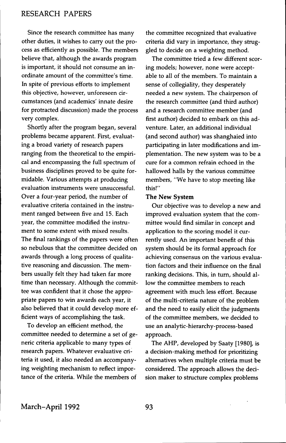Since the research committee has many other duties, it wishes to carry out the process as efficiently as possible. The members believe that, although the awards program is important, it should not consume an inordinate amount of the committee's time. In spite of previous efforts to implement this objective, however, unforeseen circumstances (and academics' innate desire for protracted discussion) made the process very complex.

Shortly after the program began, several problems became apparent. First, evaluating a broad variety of research papers ranging from the theoretical to the empirical and encompassing the full spectrum of business disciplines proved to be quite formidable. Various attempts at producing evaluation instruments were unsuccessful. Over a four-year period, the number of evaluative criteria contained in the instrument ranged between five and 15. Each year, the committee modified the instrument to some extent with mixed results. The final rankings of the papers were often so nebulous that the committee decided on awards through a long process of qualitative reasoning and discussion. The members usually felt they had taken far more time than necessary. Although the committee was confident that it chose the appropriate papers to win awards each year, it also believed that it could develop more efficient ways of accomplishing the task.

To develop an efficient method, the committee needed to determine a set of generic criteria applicable to many types of research papers. Whatever evaluative criteria it used, it also needed an accompanying weighting mechanism to refiect importance of the criteria. While the members of

the committee recognized that evaluative criteria did vary in importance, they struggled to decide on a weighting method.

The committee tried a few different scoring models; however, none were acceptable to all of the members. To maintain a sense of collegiality, they desperately needed a new system. The chairperson of the research committee (and third author) and a research committee member (and first author) decided to embark on this adventure. Later, an additional individual (and second author) was shanghaied into participating in later modifications and implementation. The new system was to be a cure for a common refrain echoed in the hallowed halls by the various committee members, "We have to stop meeting like this!"

#### **The New System**

Our objective was to develop a new and improved evaluation system that the committee would find similar in concept and application to the scoring model it currently used. An important benefit of this system should be its formal approach for achieving consensus on the various evaluation factors and their influence on the final ranking decisions. This, in turn, should allow the committee members to reach agreement with much less effort. Because of the multi-criteria nature of the problem and the need to easily elicit the judgments of the committee members, we decided to use an analytic-hierarchy-process-based approach.

The AHP, developed by Saaty [1980], is a decision-making method for prioritizing alternatives when multiple criteria must be considered. The approach allows the decision maker to structure complex problems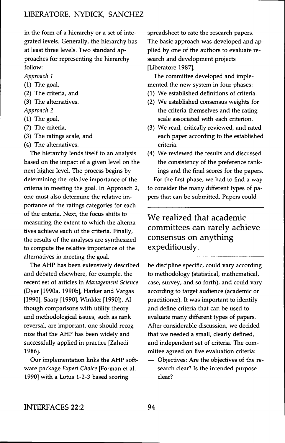in the form of a hierarchy or a set of integrated levels. Generally, the hierarchy has at least three levels. Two standard approaches for representing the hierarchy follow:

*Approach 1*

- (1) The goal,
- (2) The criteria, and
- (3) The alternatives.
- *Approach 2*
- (1) The goal,
- (2) The criteria,
- (3) The ratings scale, and
- (4) The alternatives.

The hierarchy lends itself to an analysis based on the impact of a given level on the next higher level. The process begins by determining the relative importance of the criteria in meeting the goal. In Approach 2, one must also determine the relative importance of the ratings categories for each of the criteria. Next, the focus shifts to measuring the extent to which the alternatives achieve each of the criteria. Finally, the results of the analyses are synthesized to compute the relative importance of the alternatives in meeting the goal.

The AHP has been extensively described and debated elsewhere, for example, the recent set of articles in *Management Science* (Dyer [1990a, 1990b], Harker and Vargas [1990], Saaty [1990], Winkler [1990]). Although comparisons with utility theory and methodological issues, such as rank reversal, are important, one should recognize that the AHP has been widely and successfully applied in practice [Zahedi 1986].

Our implementation links the AHP software package *Expert Choice* [Forman et al. 1990] with a Lotus 1-2-3 based scoring

spreadsheet to rate the research papers. The basic approach was developed and applied by one of the authors to evaluate research and development projects [Liberatore 1987].

The committee developed and implemented the new system in four phases:

- (1) We established definitions of criteria.
- (2) We established consensus weights for the criteria themselves and the rating scale associated with each criterion.
- (3) We read, critically reviewed, and rated each paper according to the established criteria.
- (4) We reviewed the results and discussed the consistency of the preference rankings and the final scores for the papers. For the first phase, we had to find a way to consider the many different types of papers that can be submitted. Papers could

# We realized that academic committees can rarely achieve consensus on anything expeditiously.

be discipline specific, could vary according to methodology (statistical, mathematical, case, survey, and so forth), and could vary according to target audience (academic or practitioner). It was important to identify and define criteria that can be used to evaluate many different types of papers. After considerable discussion, we decided that we needed a small, clearly defined, and independent set of criteria. The committee agreed on five evaluation criteria:

— Objectives: Are the objectives of the research clear? Is the intended purpose clear?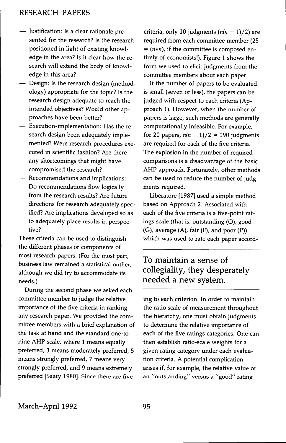- Justification: Is a clear rationale presented for the research? Is the research positioned in light of existing knowledge in the area? Is it clear how the research will extend the body of knowledge in this area?
- Design: Is the research design (methodology) appropriate for the topic? Is the research design adequate to reach the intended objectives? Would other approaches have been better?
- Execution-implementation: Has the research design been adequately implemented? Were research procedures executed in scientific fashion? Are there any shortcomings that might have compromised the research?
- Recommendations and implications: Do recommendations flow logically from the research results? Are future directions for research adequately specified? Are implications developed so as to adequately place results in perspective?

These criteria can be used to distinguish the different phases or components of most research papers. (For the most part, business law remained a statistical outlier, although we did try to accommodate its needs.)

During the second phase we asked each committee member to judge the relative importance of the five criteria in ranking any research paper. We provided the committee members with a brief explanation of the task at hand and the standard one-tonine AHP scale, where 1 means equally preferred, 3 means moderately preferred, 5 means strongly preferred, 7 means very strongly preferred, and 9 means extremely preferred [Saaty 1980]. Since there are five

criteria, only 10 judgments *(n(n —* l)/2) are required from each committee member (25  $=$  ( $n*n$ ), if the committee is composed entirely of economists!). Figure 1 shows the form we used to elicit judgments from the committee members about each paper.

If the number of papers to be evaluated is small (seven or less), the papers can be judged with respect to each criteria (Approach 1). However, when the number of papers is large, such methods are generally computationally infeasible. For example, for 20 papers,  $n(n - 1)/2 = 190$  judgments are required for each of the five criteria. The explosion in the number of required comparisons is a disadvantage of the basic AHP approach. Fortunately, other methods can be used to reduce the number of judgments required.

Liberatore [1987] used a simple method based on Approach 2. Associated with each of the five criteria is a five-point ratings scale (that is, outstanding (O), good (G), average (A), fair (F), and poor (P)) which was used to rate each paper accord-

# To maintain a sense of collegiality, they desperately needed a new system.

ing to each criterion. In order to maintain the ratio scale of measurement throughout the hierarchy, one must obtain judgments to determine the relative importance of each of the five ratings categories. One can then establish ratio-scale weights for a given rating category under each evaluation criteria. A potential complication arises if, for example, the relative value of an "outstanding" versus a "good" rating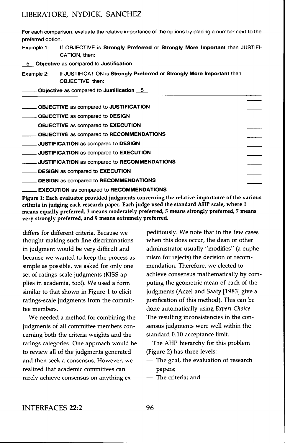### LIBERATORE, NYDICK, SANCHEZ

For each comparison, evaluate the relative importance of the options by placing a number next to the preferred option.

Example 1: If OBJECTIVE is **Strongly Preferred** or **Strongly More Important** than JUSTIFI-CATION, then:

5 **Objective** as compared to **Justification**

Example 2: If JUSTIFICATION is **Strongly Preferred** or **Strongly More Important** than OBJECTIVE, then:

**Objective** as compared to **Justification** 5

| ______ OBJECTIVE as compared to JUSTIFICATION         |  |
|-------------------------------------------------------|--|
| <b>CONCORDING</b> as compared to DESIGN               |  |
| <b>CONNECTIVE</b> as compared to EXECUTION            |  |
| <b>_____ OBJECTIVE</b> as compared to RECOMMENDATIONS |  |
| <b>IVILGO ATTION</b> as compared to DESIGN            |  |
| <b>IVISTIFICATION</b> as compared to EXECUTION        |  |
| JUSTIFICATION as compared to RECOMMENDATIONS          |  |
| <b>DESIGN</b> as compared to <b>EXECUTION</b>         |  |
| <b>LESIGN</b> as compared to RECOMMENDATIONS          |  |
|                                                       |  |

**. EXECUTION** as compared to **RECOMMENDATIONS**

**Figure 1: Each evaluator provided judgments concerning the relative importance of the various criteria in judging each research paper. Each judge used the standard AHP scale, where 1 means equally preferred, 3 means moderately preferred, 5 means strongly preferred, 7 means very strongly preferred, and 9 means extremely preferred.**

differs for different criteria. Because we thought making such fine discriminations in judgment would be very difficult and because we wanted to keep the process as simple as possible, we asked for only one set of ratings-scale judgments (KISS applies in academia, too!). We used a form similar to that shown in Figure 1 to elicit ratings-scale judgments from the committee members.

We needed a method for combining the judgments of all committee members concerning both the criteria weights and the ratings categories. One approach would be to review all of the judgments generated and then seek a consensus. However, we realized that academic committees can rarely achieve consensus on anything expeditiously. We note that in the few cases when this does occur, the dean or other administrator usually "modifies" (a euphemism for rejects) the decision or recommendation. Therefore, we elected to achieve consensus mathematically by computing the geometric mean of each of the judgments (Aczel and Saaty [1983] give a justification of this method). This can be done automatically using *Expert Choice.* The resulting inconsistencies in the consensus judgments were well within the standard 0.10 acceptance limit.

The AHP hierarchy for this problem (Figure 2) has three levels:

- The goal, the evaluation of research papers;
- The criteria; and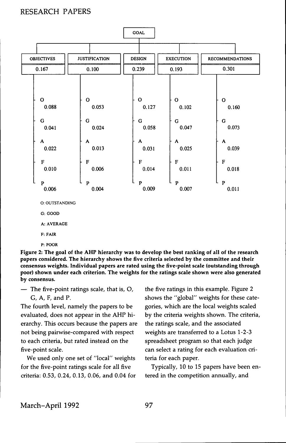

**G: GOOD**

**A: AVERAGE**

**F: FAIR**

**P: POOR**

Figure 2: The goal of the AHP hierarchy was to develop the best ranking of all of the research papers considered. The hierarchy shows the five criteria selected by the committee and their consensus weights. Individual papers are rated using the five-point scale (outstanding through poor) shown under each criterion. The weights for the ratings scale shown were also generated by consensus.

— The five-point ratings scale, that is, O, G, A, F, and P.

The fourth level, namely the papers to be evaluated, does not appear in the AHP hierarchy. This occurs because the papers are not being pairwise-compared with respect to each criteria, but rated instead on the five-point scale.

We used only one set of "local" weights for the five-point ratings scale for all five criteria: 0.53, 0.24, 0.13, 0.06, and 0.04 for the five ratings in this example. Figure 2 shows the "global" weights for these categories, which are the local weights scaled by the criteria weights shown. The criteria, the ratings scale, and the associated weights are transferred to a Lotus 1-2-3 spreadsheet program so that each judge can select a rating for each evaluation criteria for each paper.

Typically, 10 to 15 papers have been entered in the competition annually, and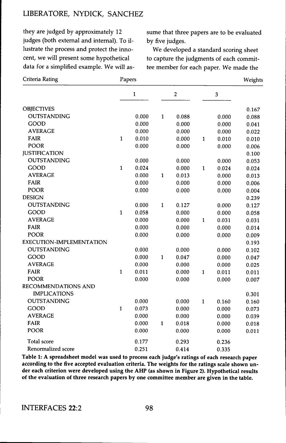### LIBERATORE, NYDICK, SANCHEZ

they are judged by approximately 12 judges (both external and internal). To illustrate the process and protect the innocent, we will present some hypothetical data for a simplified example. We will as-

sume that three papers are to be evaluated by five judges.

We developed a standard scoring sheet to capture the judgments of each committee member for each paper. We made the

| Criteria Rating          | Papers       |       |                  |       |              |       | Weights |
|--------------------------|--------------|-------|------------------|-------|--------------|-------|---------|
|                          | $\mathbf{1}$ |       | $\boldsymbol{2}$ |       | 3            |       |         |
| <b>OBJECTIVES</b>        |              |       |                  |       |              |       | 0.167   |
| OUTSTANDING              |              | 0.000 | $\mathbf{1}$     | 0.088 |              | 0.000 | 0.088   |
| GOOD                     |              | 0.000 |                  | 0.000 |              | 0.000 | 0.041   |
| <b>AVERAGE</b>           |              | 0.000 |                  | 0.000 |              | 0.000 | 0.022   |
| <b>FAIR</b>              | $\mathbf{1}$ | 0.010 |                  | 0.000 | $\mathbf{1}$ | 0.010 | 0.010   |
| <b>POOR</b>              |              | 0.000 |                  | 0.000 |              | 0.000 | 0.006   |
| <b>JUSTIFICATION</b>     |              |       |                  |       |              |       | 0.100   |
| OUTSTANDING              |              | 0.000 |                  | 0.000 |              | 0.000 | 0.053   |
| GOOD                     | $\mathbf{1}$ | 0.024 |                  | 0.000 | $\mathbf{1}$ | 0.024 | 0.024   |
| <b>AVERAGE</b>           |              | 0.000 | $\mathbf{1}$     | 0.013 |              | 0.000 | 0.013   |
| FAIR                     |              | 0.000 |                  | 0.000 |              | 0.000 | 0.006   |
| POOR                     |              | 0.000 |                  | 0.000 |              | 0.000 | 0.004   |
| <b>DESIGN</b>            |              |       |                  |       |              |       | 0.239   |
| <b>OUTSTANDING</b>       |              | 0.000 | $\mathbf{1}$     | 0.127 |              | 0.000 | 0.127   |
| GOOD                     | $\mathbf{1}$ | 0.058 |                  | 0.000 |              | 0.000 | 0.058   |
| <b>AVERAGE</b>           |              | 0.000 |                  | 0.000 | $\mathbf{1}$ | 0.031 | 0.031   |
| <b>FAIR</b>              |              | 0.000 |                  | 0.000 |              | 0.000 | 0.014   |
| POOR                     |              | 0.000 |                  | 0.000 |              | 0.000 | 0.009   |
| EXECUTION-IMPLEMENTATION |              |       |                  |       |              |       | 0.193   |
| <b>OUTSTANDING</b>       |              | 0.000 |                  | 0.000 |              | 0.000 | 0.102   |
| GOOD                     |              | 0.000 | $\mathbf{1}$     | 0.047 |              | 0.000 | 0.047   |
| <b>AVERAGE</b>           |              | 0.000 |                  | 0.000 |              | 0.000 | 0.025   |
| <b>FAIR</b>              | $\mathbf{1}$ | 0.011 |                  | 0.000 | $\mathbf{1}$ | 0.011 | 0.011   |
| POOR                     |              | 0.000 |                  | 0.000 |              | 0.000 | 0.007   |
| RECOMMENDATIONS AND      |              |       |                  |       |              |       |         |
| <b>IMPLICATIONS</b>      |              |       |                  |       |              |       | 0.301   |
| <b>OUTSTANDING</b>       |              | 0.000 |                  | 0.000 | $\mathbf{1}$ | 0.160 | 0.160   |
| GOOD                     | $\mathbf{1}$ | 0.073 |                  | 0.000 |              | 0.000 | 0.073   |
| <b>AVERAGE</b>           |              | 0.000 |                  | 0.000 |              | 0.000 | 0.039   |
| <b>FAIR</b>              |              | 0.000 | $\mathbf 1$      | 0.018 |              | 0.000 | 0.018   |
| <b>POOR</b>              |              | 0.000 |                  | 0.000 |              | 0.000 | 0.011   |
| <b>Total score</b>       |              | 0.177 |                  | 0.293 |              | 0.236 |         |
| Renormalized score       |              | 0.251 |                  | 0.414 |              | 0.335 |         |

**Table 1: A spreadsheet model was used to process each judge's ratings of each research paper according to the five accepted evaluation criteria. The weights for the ratings scale shown under each criterion were developed using the AHP (as shown in Figure 2). Hypothetical results of the evaluation of three research papers by one committee member are given in the table.**

INTERFACES 22:2 98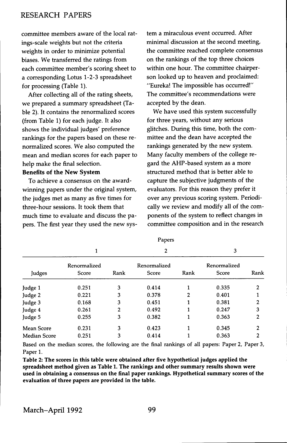committee members aware of the local ratings-scale weights but not the criteria weights in order to minimize potential biases. We transferred the ratings from each committee member's scoring sheet to a corresponding Lotus 1-2-3 spreadsheet for processing (Table 1),

After collecting all of the rating sheets, we prepared a summary spreadsheet (Table 2). It contains the renormalized scores (from Table 1) for each judge. It also shows the individual judges' preference rankings for the papers based on these renormalized scores. We also computed the mean and median scores for each paper to help make the final selection.

#### **Benefits of the New System**

To achieve a consensus on the awardwinning papers under the original system, the judges met as many as five times for three-hour sessions. It took them that much time to evaluate and discuss the papers. The first year they used the new system a miraculous event occurred. After minimal discussion at the second meeting, the committee reached complete consensus on the rankings of the top three choices within one hour. The committee chairperson looked up to heaven and proclaimed: "Eureka! The impossible has occurred!" The committee's recommendations were accepted by the dean.

We have used this system successfully for three years, without any serious glitches. During this time, both the committee and the dean have accepted the rankings generated by the new system. Many faculty members of the college regard the AHP-based system as a more structured method that is better able to capture the subjective judgments of the evaluators. For this reason they prefer it over any previous scoring system. Periodically we review and modify all of the components of the system to reflect changes in committee composition and in the research

| Judges              |                       |      | 2                     |      | 3                     |                |
|---------------------|-----------------------|------|-----------------------|------|-----------------------|----------------|
|                     | Renormalized<br>Score | Rank | Renormalized<br>Score | Rank | Renormalized<br>Score | Rank           |
| Judge 1             | 0.251                 | 3    | 0.414                 |      | 0.335                 | 2              |
| Judge 2             | 0.221                 | 3    | 0.378                 | 2    | 0.401                 |                |
| Judge 3             | 0.168                 | 3    | 0.451                 |      | 0.381                 | 2              |
| Judge 4             | 0.261                 | 2    | 0.492                 |      | 0.247                 | 3              |
| Judge 5             | 0.255                 | 3    | 0.382                 |      | 0.363                 | 2              |
| Mean Score          | 0.231                 | 3    | 0.423                 |      | 0.345                 | $\overline{2}$ |
| <b>Median Score</b> | 0.251                 | 3    | 0.414                 |      | 0.363                 | 2              |

Papers

Based on the median scores, the following are the final rankings of all papers: Paper 2, Paper 3, Paper 1,

**Table 2: The scores in this table were obtained after five hypothetical judges applied the spreadsheet method given as Table 1. The rankings and other summary results shown were used in obtaining a consensus on the final paper rankings. Hypothetical summary scores of the evaluation of three papers are provided in the table.**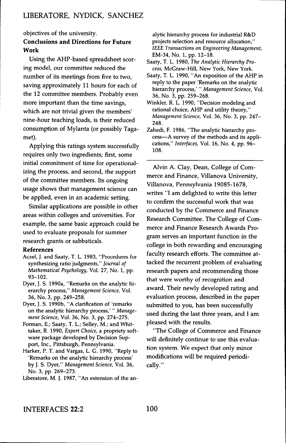objectives of the university.

### **Conclusions and Directions for Future Work**

Using the AHP-based spreadsheet scoring model, our committee reduced the number of its meetings from five to two, saving approximately 11 hours for each of the 12 committee members. Probably even more important than the time savings, which are not trivial given the members' nine-hour teaching loads, is their reduced consumption of Mylanta (or possibly Tagamet).

Applying this ratings system successfully requires only two ingredients; first, some initial commitment of time for operationalizing the process, and second, the support of the committee members. Its ongoing usage shows that management science can be applied, even in an academic setting.

Similar applications are possible in other areas within colleges and universities. For example, the same basic approach could be used to evaluate proposals for summer research grants or sabbaticals.

#### **References**

- Aczel, J, and Saaty, T, L, 1983, "Procedures for synthesizing ratio judgments," *Journal of Mathematical Psychology,* Vol, 27, No, 1, pp, 93-102,
- Dyer, J, S, 1990a, "Remarks on the analytic hierarchy process," *Management Science,* Vol, 36, No, 3, pp. 249-258,
- Dyer, J, S, 1990b, "A clarification of 'remarks on the analytic hierarchy process,' " *Management Science,* Vol, 36, No, 3, pp, 274-275.
- Forman, E.; Saaty, T, L,; Selley, M,; and Whittaker, R, 1990, *Expert Choice,* a propriety software package developed by Decision Support, Inc, Pittsburgh, Pennsylvania,
- Harker, P. T. and Vargas, L. G. 1990, "Reply to 'Remarks on the analytic hierarchy process' by J, S. Dyer," *Management Science,* Vol, 36, No, 3, pp, 269-273,
- Liberatore, M, J, 1987, "An extension of the an-

alytic hierarchy process for industrial R&D projects selection and resource allocation," IEEE *Transactions on Engineering Management,* EM-34, No, 1, pp, 12-18,

Saaty, T, L, 1980, *The Analytic Hierarchy Process,* McGraw-Hill, New York, New York,

- Saaty, T, L, 1990, "An exposition of the AHP in reply to the paper 'Remarks on the analytic hierarchy process,' " *Management Science,* Vol, 36, No, 3, pp, 259-268,
- Winkler, R, L, 1990, "Decision modeling and rational choice, AHP and utility theory," *Management Science,* Vol, 36, No, 3, pp, 247- 248,
- Zahedi, F, 1986, "The analytic hierarchy process—A survey of the methods and its applications," *Interfaces,* Vol, 16, No, 4, pp, 96- 108,

Alvin A. Clay, Dean, College of Commerce and Finance, Villanova University, Villanova, Pennsylvania 19085-1678, writes "I am delighted to write this letter to confirm the successful work that was conducted by the Commerce and Finance Research Committee. The College of Commerce and Finance Research Awards Program serves an important function in the college in both rewarding and encouraging faculty research efforts. The committee attacked the recurrent problem of evaluating research papers and recommending those that were worthy of recognition and award. Their newly developed rating and evaluation process, described in the paper submitted to you, has been successfully used during the last three years, and I am pleased with the results,

"The College of Commerce and Finance will definitely continue to use this evaluation system. We expect that only minor modifications wall be required periodically,"

INTERFACES 22:2 100